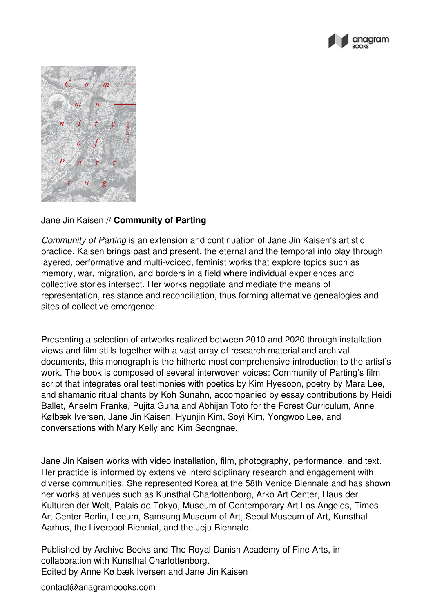



## Jane Jin Kaisen // **Community of Parting**

*Community of Parting* is an extension and continuation of Jane Jin Kaisen's artistic practice. Kaisen brings past and present, the eternal and the temporal into play through layered, performative and multi-voiced, feminist works that explore topics such as memory, war, migration, and borders in a field where individual experiences and collective stories intersect. Her works negotiate and mediate the means of representation, resistance and reconciliation, thus forming alternative genealogies and sites of collective emergence.

Presenting a selection of artworks realized between 2010 and 2020 through installation views and film stills together with a vast array of research material and archival documents, this monograph is the hitherto most comprehensive introduction to the artist's work. The book is composed of several interwoven voices: Community of Parting's film script that integrates oral testimonies with poetics by Kim Hyesoon, poetry by Mara Lee, and shamanic ritual chants by Koh Sunahn, accompanied by essay contributions by Heidi Ballet, Anselm Franke, Pujita Guha and Abhijan Toto for the Forest Curriculum, Anne Kølbæk Iversen, Jane Jin Kaisen, Hyunjin Kim, Soyi Kim, Yongwoo Lee, and conversations with Mary Kelly and Kim Seongnae.

Jane Jin Kaisen works with video installation, film, photography, performance, and text. Her practice is informed by extensive interdisciplinary research and engagement with diverse communities. She represented Korea at the 58th Venice Biennale and has shown her works at venues such as Kunsthal Charlottenborg, Arko Art Center, Haus der Kulturen der Welt, Palais de Tokyo, Museum of Contemporary Art Los Angeles, Times Art Center Berlin, Leeum, Samsung Museum of Art, Seoul Museum of Art, Kunsthal Aarhus, the Liverpool Biennial, and the Jeju Biennale.

Published by Archive Books and The Royal Danish Academy of Fine Arts, in collaboration with Kunsthal Charlottenborg. Edited by Anne Kølbæk Iversen and Jane Jin Kaisen

contact@anagrambooks.com